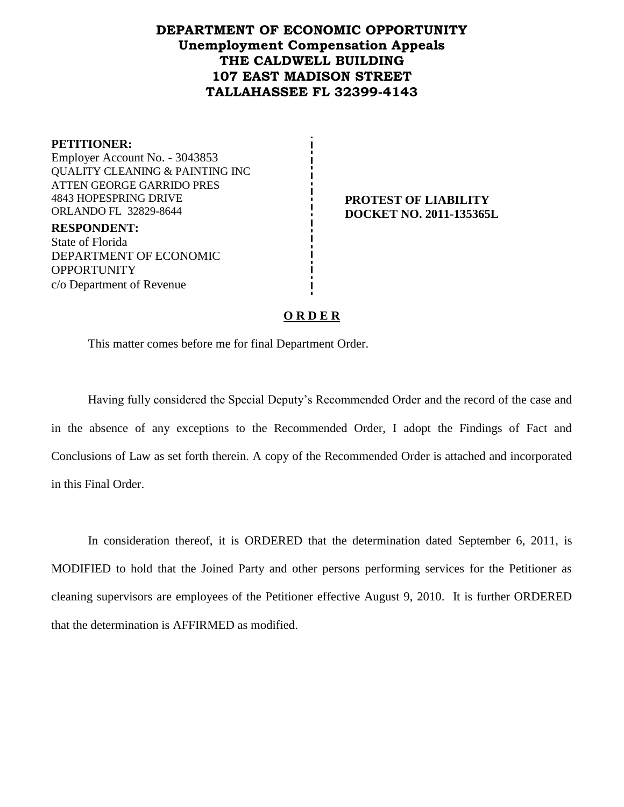## **DEPARTMENT OF ECONOMIC OPPORTUNITY Unemployment Compensation Appeals THE CALDWELL BUILDING 107 EAST MADISON STREET TALLAHASSEE FL 32399-4143**

**PETITIONER:** Employer Account No. - 3043853 QUALITY CLEANING & PAINTING INC ATTEN GEORGE GARRIDO PRES 4843 HOPESPRING DRIVE ORLANDO FL 32829-8644

**RESPONDENT:** State of Florida DEPARTMENT OF ECONOMIC OPPORTUNITY c/o Department of Revenue

#### **PROTEST OF LIABILITY DOCKET NO. 2011-135365L**

### **O R D E R**

This matter comes before me for final Department Order.

Having fully considered the Special Deputy's Recommended Order and the record of the case and in the absence of any exceptions to the Recommended Order, I adopt the Findings of Fact and Conclusions of Law as set forth therein. A copy of the Recommended Order is attached and incorporated in this Final Order.

In consideration thereof, it is ORDERED that the determination dated September 6, 2011, is MODIFIED to hold that the Joined Party and other persons performing services for the Petitioner as cleaning supervisors are employees of the Petitioner effective August 9, 2010. It is further ORDERED that the determination is AFFIRMED as modified.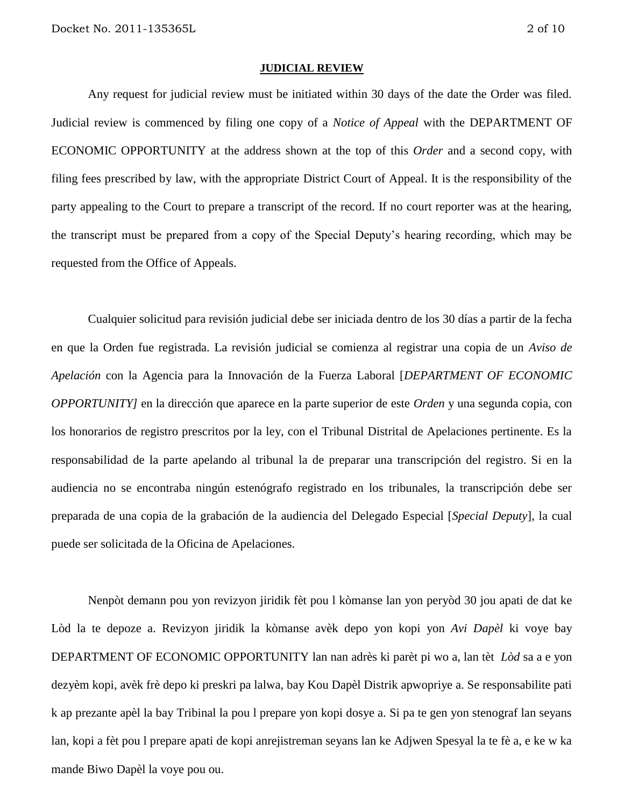#### **JUDICIAL REVIEW**

Any request for judicial review must be initiated within 30 days of the date the Order was filed. Judicial review is commenced by filing one copy of a *Notice of Appeal* with the DEPARTMENT OF ECONOMIC OPPORTUNITY at the address shown at the top of this *Order* and a second copy, with filing fees prescribed by law, with the appropriate District Court of Appeal. It is the responsibility of the party appealing to the Court to prepare a transcript of the record. If no court reporter was at the hearing, the transcript must be prepared from a copy of the Special Deputy's hearing recording, which may be requested from the Office of Appeals.

Cualquier solicitud para revisión judicial debe ser iniciada dentro de los 30 días a partir de la fecha en que la Orden fue registrada. La revisión judicial se comienza al registrar una copia de un *Aviso de Apelación* con la Agencia para la Innovación de la Fuerza Laboral [*DEPARTMENT OF ECONOMIC OPPORTUNITY]* en la dirección que aparece en la parte superior de este *Orden* y una segunda copia, con los honorarios de registro prescritos por la ley, con el Tribunal Distrital de Apelaciones pertinente. Es la responsabilidad de la parte apelando al tribunal la de preparar una transcripción del registro. Si en la audiencia no se encontraba ningún estenógrafo registrado en los tribunales, la transcripción debe ser preparada de una copia de la grabación de la audiencia del Delegado Especial [*Special Deputy*], la cual puede ser solicitada de la Oficina de Apelaciones.

Nenpòt demann pou yon revizyon jiridik fèt pou l kòmanse lan yon peryòd 30 jou apati de dat ke Lòd la te depoze a. Revizyon jiridik la kòmanse avèk depo yon kopi yon *Avi Dapèl* ki voye bay DEPARTMENT OF ECONOMIC OPPORTUNITY lan nan adrès ki parèt pi wo a, lan tèt *Lòd* sa a e yon dezyèm kopi, avèk frè depo ki preskri pa lalwa, bay Kou Dapèl Distrik apwopriye a. Se responsabilite pati k ap prezante apèl la bay Tribinal la pou l prepare yon kopi dosye a. Si pa te gen yon stenograf lan seyans lan, kopi a fèt pou l prepare apati de kopi anrejistreman seyans lan ke Adjwen Spesyal la te fè a, e ke w ka mande Biwo Dapèl la voye pou ou.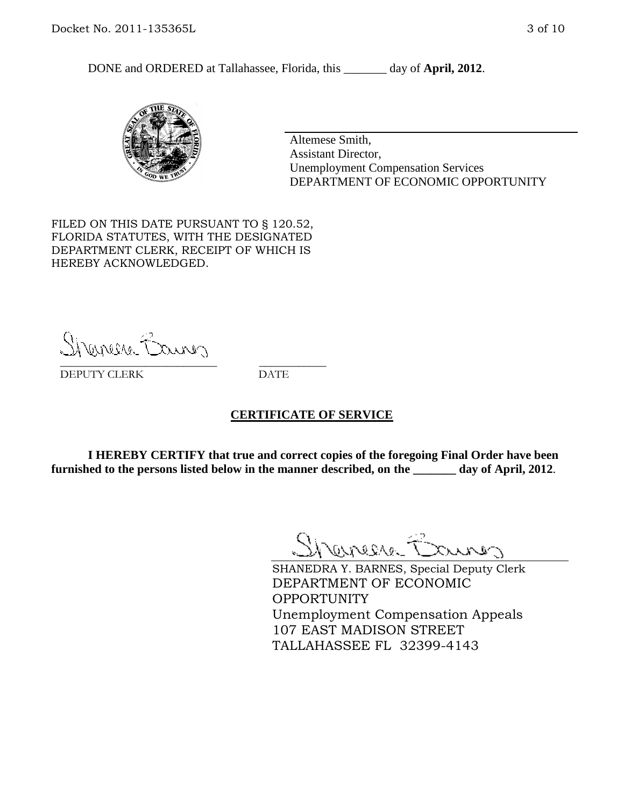DONE and ORDERED at Tallahassee, Florida, this day of **April, 2012**.



Altemese Smith, Assistant Director, Unemployment Compensation Services DEPARTMENT OF ECONOMIC OPPORTUNITY

FILED ON THIS DATE PURSUANT TO § 120.52, FLORIDA STATUTES, WITH THE DESIGNATED DEPARTMENT CLERK, RECEIPT OF WHICH IS HEREBY ACKNOWLEDGED.

Shenere Causes \_\_\_\_\_\_\_\_\_\_\_\_\_\_\_\_\_\_\_\_\_\_\_\_\_\_\_\_ \_\_\_\_\_\_\_\_\_\_\_\_

DEPUTY CLERK DATE

#### **CERTIFICATE OF SERVICE**

**I HEREBY CERTIFY that true and correct copies of the foregoing Final Order have been furnished to the persons listed below in the manner described, on the \_\_\_\_\_\_\_ day of April, 2012**.

Shaner Barnes

SHANEDRA Y. BARNES, Special Deputy Clerk DEPARTMENT OF ECONOMIC OPPORTUNITY Unemployment Compensation Appeals 107 EAST MADISON STREET TALLAHASSEE FL 32399-4143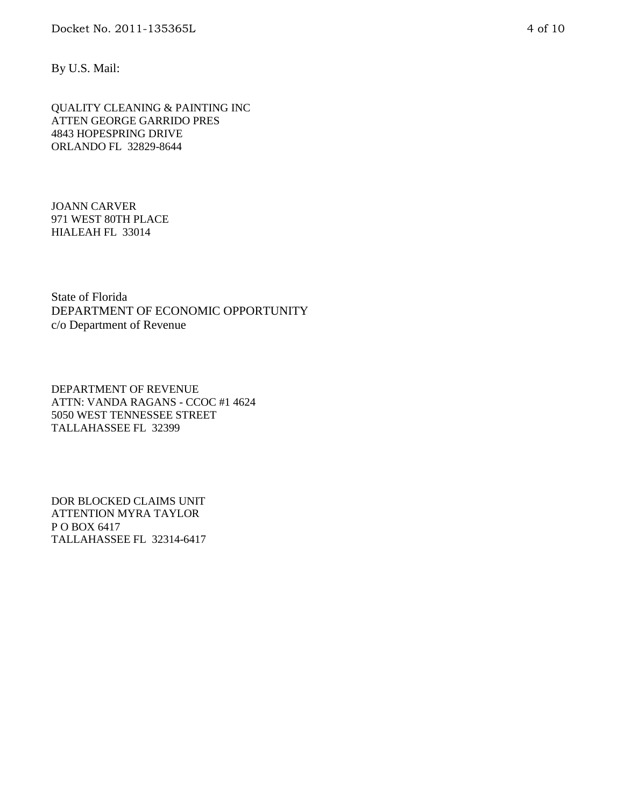By U.S. Mail:

QUALITY CLEANING & PAINTING INC ATTEN GEORGE GARRIDO PRES 4843 HOPESPRING DRIVE ORLANDO FL 32829-8644

JOANN CARVER 971 WEST 80TH PLACE HIALEAH FL 33014

State of Florida DEPARTMENT OF ECONOMIC OPPORTUNITY c/o Department of Revenue

DEPARTMENT OF REVENUE ATTN: VANDA RAGANS - CCOC #1 4624 5050 WEST TENNESSEE STREET TALLAHASSEE FL 32399

DOR BLOCKED CLAIMS UNIT ATTENTION MYRA TAYLOR P O BOX 6417 TALLAHASSEE FL 32314-6417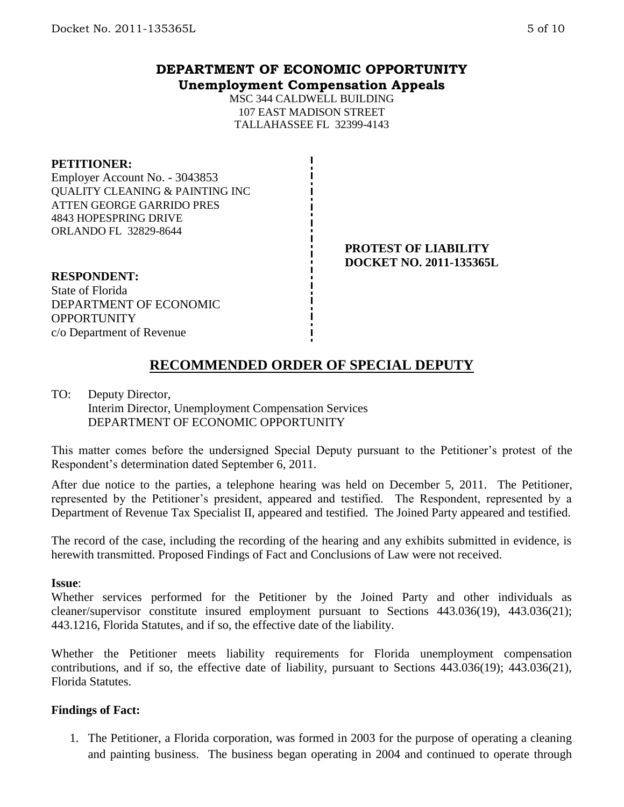## **DEPARTMENT OF ECONOMIC OPPORTUNITY Unemployment Compensation Appeals**

MSC 344 CALDWELL BUILDING 107 EAST MADISON STREET TALLAHASSEE FL 32399-4143

#### **PETITIONER:**

Employer Account No. - 3043853 QUALITY CLEANING & PAINTING INC ATTEN GEORGE GARRIDO PRES 4843 HOPESPRING DRIVE ORLANDO FL 32829-8644

### **PROTEST OF LIABILITY DOCKET NO. 2011-135365L**

**RESPONDENT:** State of Florida DEPARTMENT OF ECONOMIC **OPPORTUNITY** c/o Department of Revenue

# **RECOMMENDED ORDER OF SPECIAL DEPUTY**

TO: Deputy Director, Interim Director, Unemployment Compensation Services DEPARTMENT OF ECONOMIC OPPORTUNITY

This matter comes before the undersigned Special Deputy pursuant to the Petitioner's protest of the Respondent's determination dated September 6, 2011.

After due notice to the parties, a telephone hearing was held on December 5, 2011. The Petitioner, represented by the Petitioner's president, appeared and testified. The Respondent, represented by a Department of Revenue Tax Specialist II, appeared and testified. The Joined Party appeared and testified.

The record of the case, including the recording of the hearing and any exhibits submitted in evidence, is herewith transmitted. Proposed Findings of Fact and Conclusions of Law were not received.

#### **Issue**:

Whether services performed for the Petitioner by the Joined Party and other individuals as cleaner/supervisor constitute insured employment pursuant to Sections 443.036(19), 443.036(21); 443.1216, Florida Statutes, and if so, the effective date of the liability.

Whether the Petitioner meets liability requirements for Florida unemployment compensation contributions, and if so, the effective date of liability, pursuant to Sections 443.036(19); 443.036(21), Florida Statutes.

#### **Findings of Fact:**

1. The Petitioner, a Florida corporation, was formed in 2003 for the purpose of operating a cleaning and painting business. The business began operating in 2004 and continued to operate through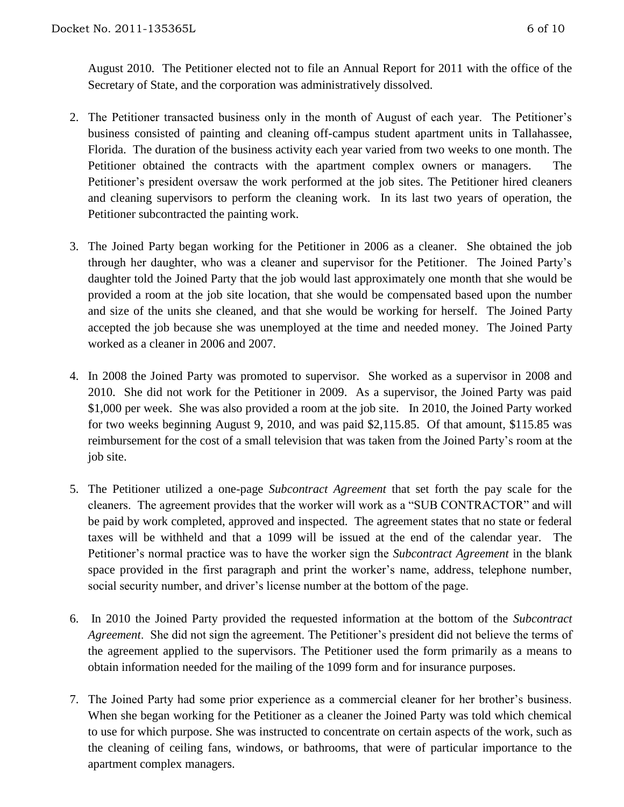August 2010. The Petitioner elected not to file an Annual Report for 2011 with the office of the Secretary of State, and the corporation was administratively dissolved.

- 2. The Petitioner transacted business only in the month of August of each year. The Petitioner's business consisted of painting and cleaning off-campus student apartment units in Tallahassee, Florida. The duration of the business activity each year varied from two weeks to one month. The Petitioner obtained the contracts with the apartment complex owners or managers. The Petitioner's president oversaw the work performed at the job sites. The Petitioner hired cleaners and cleaning supervisors to perform the cleaning work. In its last two years of operation, the Petitioner subcontracted the painting work.
- 3. The Joined Party began working for the Petitioner in 2006 as a cleaner. She obtained the job through her daughter, who was a cleaner and supervisor for the Petitioner. The Joined Party's daughter told the Joined Party that the job would last approximately one month that she would be provided a room at the job site location, that she would be compensated based upon the number and size of the units she cleaned, and that she would be working for herself.The Joined Party accepted the job because she was unemployed at the time and needed money. The Joined Party worked as a cleaner in 2006 and 2007.
- 4. In 2008 the Joined Party was promoted to supervisor. She worked as a supervisor in 2008 and 2010. She did not work for the Petitioner in 2009. As a supervisor, the Joined Party was paid \$1,000 per week. She was also provided a room at the job site. In 2010, the Joined Party worked for two weeks beginning August 9, 2010, and was paid \$2,115.85. Of that amount, \$115.85 was reimbursement for the cost of a small television that was taken from the Joined Party's room at the job site.
- 5. The Petitioner utilized a one-page *Subcontract Agreement* that set forth the pay scale for the cleaners. The agreement provides that the worker will work as a "SUB CONTRACTOR" and will be paid by work completed, approved and inspected. The agreement states that no state or federal taxes will be withheld and that a 1099 will be issued at the end of the calendar year.The Petitioner's normal practice was to have the worker sign the *Subcontract Agreement* in the blank space provided in the first paragraph and print the worker's name, address, telephone number, social security number, and driver's license number at the bottom of the page.
- 6. In 2010 the Joined Party provided the requested information at the bottom of the *Subcontract Agreement*. She did not sign the agreement. The Petitioner's president did not believe the terms of the agreement applied to the supervisors. The Petitioner used the form primarily as a means to obtain information needed for the mailing of the 1099 form and for insurance purposes.
- 7. The Joined Party had some prior experience as a commercial cleaner for her brother's business. When she began working for the Petitioner as a cleaner the Joined Party was told which chemical to use for which purpose. She was instructed to concentrate on certain aspects of the work, such as the cleaning of ceiling fans, windows, or bathrooms, that were of particular importance to the apartment complex managers.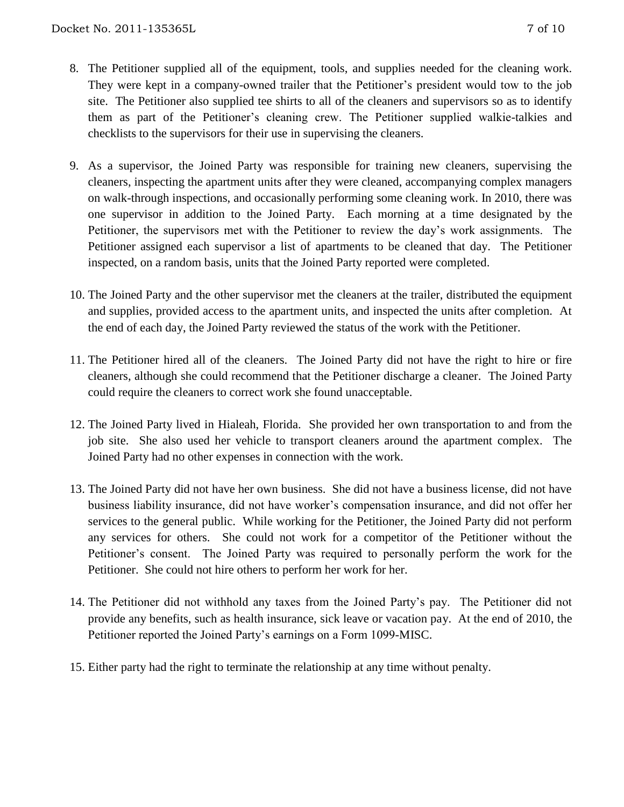- 8. The Petitioner supplied all of the equipment, tools, and supplies needed for the cleaning work. They were kept in a company-owned trailer that the Petitioner's president would tow to the job site. The Petitioner also supplied tee shirts to all of the cleaners and supervisors so as to identify them as part of the Petitioner's cleaning crew. The Petitioner supplied walkie-talkies and checklists to the supervisors for their use in supervising the cleaners.
- 9. As a supervisor, the Joined Party was responsible for training new cleaners, supervising the cleaners, inspecting the apartment units after they were cleaned, accompanying complex managers on walk-through inspections, and occasionally performing some cleaning work. In 2010, there was one supervisor in addition to the Joined Party. Each morning at a time designated by the Petitioner, the supervisors met with the Petitioner to review the day's work assignments. The Petitioner assigned each supervisor a list of apartments to be cleaned that day. The Petitioner inspected, on a random basis, units that the Joined Party reported were completed.
- 10. The Joined Party and the other supervisor met the cleaners at the trailer, distributed the equipment and supplies, provided access to the apartment units, and inspected the units after completion. At the end of each day, the Joined Party reviewed the status of the work with the Petitioner.
- 11. The Petitioner hired all of the cleaners. The Joined Party did not have the right to hire or fire cleaners, although she could recommend that the Petitioner discharge a cleaner. The Joined Party could require the cleaners to correct work she found unacceptable.
- 12. The Joined Party lived in Hialeah, Florida. She provided her own transportation to and from the job site. She also used her vehicle to transport cleaners around the apartment complex. The Joined Party had no other expenses in connection with the work.
- 13. The Joined Party did not have her own business. She did not have a business license, did not have business liability insurance, did not have worker's compensation insurance, and did not offer her services to the general public. While working for the Petitioner, the Joined Party did not perform any services for others. She could not work for a competitor of the Petitioner without the Petitioner's consent. The Joined Party was required to personally perform the work for the Petitioner. She could not hire others to perform her work for her.
- 14. The Petitioner did not withhold any taxes from the Joined Party's pay. The Petitioner did not provide any benefits, such as health insurance, sick leave or vacation pay. At the end of 2010, the Petitioner reported the Joined Party's earnings on a Form 1099-MISC.
- 15. Either party had the right to terminate the relationship at any time without penalty.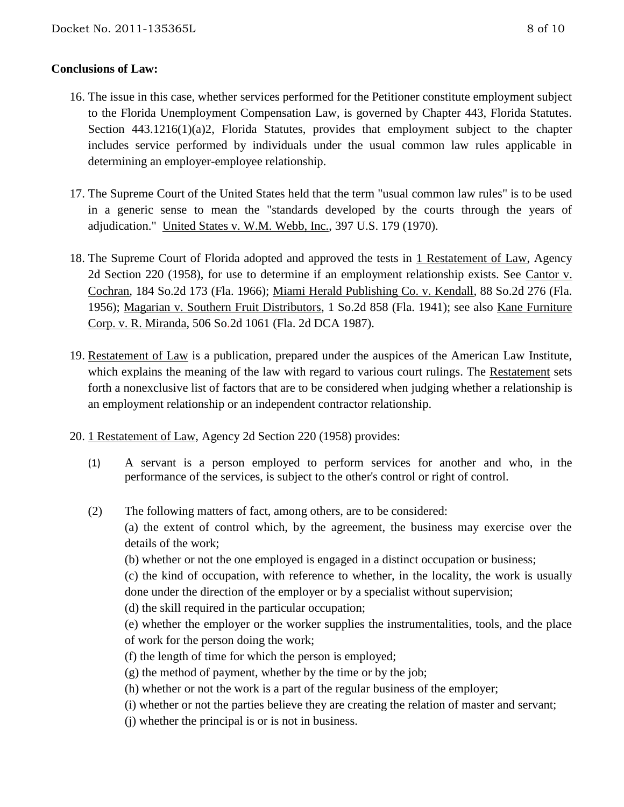## **Conclusions of Law:**

- 16. The issue in this case, whether services performed for the Petitioner constitute employment subject to the Florida Unemployment Compensation Law, is governed by Chapter 443, Florida Statutes. Section 443.1216(1)(a)2, Florida Statutes, provides that employment subject to the chapter includes service performed by individuals under the usual common law rules applicable in determining an employer-employee relationship.
- 17. The Supreme Court of the United States held that the term "usual common law rules" is to be used in a generic sense to mean the "standards developed by the courts through the years of adjudication." United States v. W.M. Webb, Inc., 397 U.S. 179 (1970).
- 18. The Supreme Court of Florida adopted and approved the tests in 1 Restatement of Law, Agency 2d Section 220 (1958), for use to determine if an employment relationship exists. See Cantor v. Cochran, 184 So.2d 173 (Fla. 1966); Miami Herald Publishing Co. v. Kendall, 88 So.2d 276 (Fla. 1956); Magarian v. Southern Fruit Distributors, 1 So.2d 858 (Fla. 1941); see also Kane Furniture Corp. v. R. Miranda, 506 So.2d 1061 (Fla. 2d DCA 1987).
- 19. Restatement of Law is a publication, prepared under the auspices of the American Law Institute, which explains the meaning of the law with regard to various court rulings. The Restatement sets forth a nonexclusive list of factors that are to be considered when judging whether a relationship is an employment relationship or an independent contractor relationship.
- 20. 1 Restatement of Law, Agency 2d Section 220 (1958) provides:
	- (1) A servant is a person employed to perform services for another and who, in the performance of the services, is subject to the other's control or right of control.
	- (2) The following matters of fact, among others, are to be considered: (a) the extent of control which, by the agreement, the business may exercise over the details of the work;
		- (b) whether or not the one employed is engaged in a distinct occupation or business;

(c) the kind of occupation, with reference to whether, in the locality, the work is usually done under the direction of the employer or by a specialist without supervision;

- (d) the skill required in the particular occupation;
- (e) whether the employer or the worker supplies the instrumentalities, tools, and the place of work for the person doing the work;
- (f) the length of time for which the person is employed;
- $(g)$  the method of payment, whether by the time or by the job;
- (h) whether or not the work is a part of the regular business of the employer;
- (i) whether or not the parties believe they are creating the relation of master and servant;
- (j) whether the principal is or is not in business.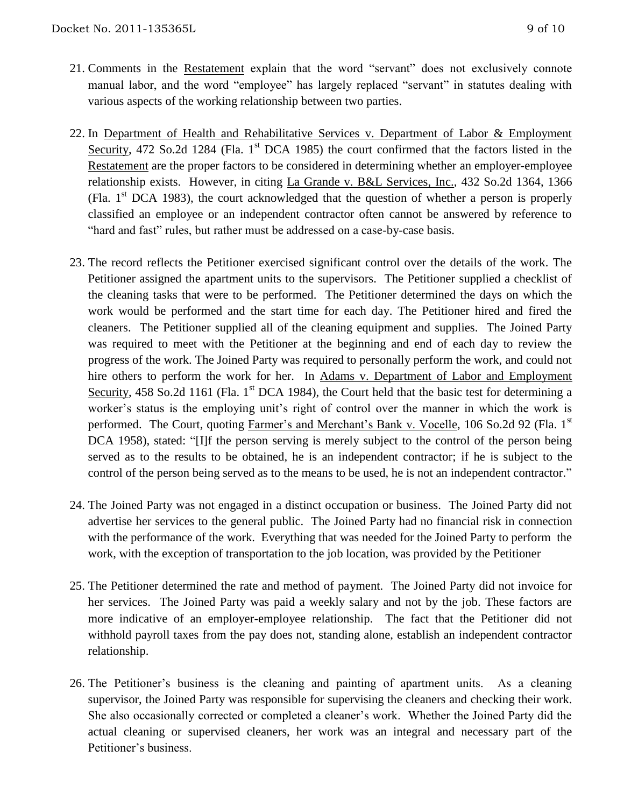- 21. Comments in the Restatement explain that the word "servant" does not exclusively connote manual labor, and the word "employee" has largely replaced "servant" in statutes dealing with various aspects of the working relationship between two parties.
- 22. In Department of Health and Rehabilitative Services v. Department of Labor & Employment Security, 472 So.2d 1284 (Fla.  $1<sup>st</sup>$  DCA 1985) the court confirmed that the factors listed in the Restatement are the proper factors to be considered in determining whether an employer-employee relationship exists. However, in citing La Grande v. B&L Services, Inc., 432 So.2d 1364, 1366 (Fla.  $1<sup>st</sup> DCA$  1983), the court acknowledged that the question of whether a person is properly classified an employee or an independent contractor often cannot be answered by reference to "hard and fast" rules, but rather must be addressed on a case-by-case basis.
- 23. The record reflects the Petitioner exercised significant control over the details of the work. The Petitioner assigned the apartment units to the supervisors. The Petitioner supplied a checklist of the cleaning tasks that were to be performed. The Petitioner determined the days on which the work would be performed and the start time for each day. The Petitioner hired and fired the cleaners. The Petitioner supplied all of the cleaning equipment and supplies. The Joined Party was required to meet with the Petitioner at the beginning and end of each day to review the progress of the work. The Joined Party was required to personally perform the work, and could not hire others to perform the work for her. In Adams v. Department of Labor and Employment Security, 458 So.2d 1161 (Fla.  $1<sup>st</sup> DCA$  1984), the Court held that the basic test for determining a worker's status is the employing unit's right of control over the manner in which the work is performed. The Court, quoting Farmer's and Merchant's Bank v. Vocelle, 106 So.2d 92 (Fla. 1<sup>st</sup> DCA 1958), stated: "[I]f the person serving is merely subject to the control of the person being served as to the results to be obtained, he is an independent contractor; if he is subject to the control of the person being served as to the means to be used, he is not an independent contractor."
- 24. The Joined Party was not engaged in a distinct occupation or business. The Joined Party did not advertise her services to the general public. The Joined Party had no financial risk in connection with the performance of the work. Everything that was needed for the Joined Party to perform the work, with the exception of transportation to the job location, was provided by the Petitioner
- 25. The Petitioner determined the rate and method of payment. The Joined Party did not invoice for her services. The Joined Party was paid a weekly salary and not by the job. These factors are more indicative of an employer-employee relationship. The fact that the Petitioner did not withhold payroll taxes from the pay does not, standing alone, establish an independent contractor relationship.
- 26. The Petitioner's business is the cleaning and painting of apartment units. As a cleaning supervisor, the Joined Party was responsible for supervising the cleaners and checking their work. She also occasionally corrected or completed a cleaner's work. Whether the Joined Party did the actual cleaning or supervised cleaners, her work was an integral and necessary part of the Petitioner's business.